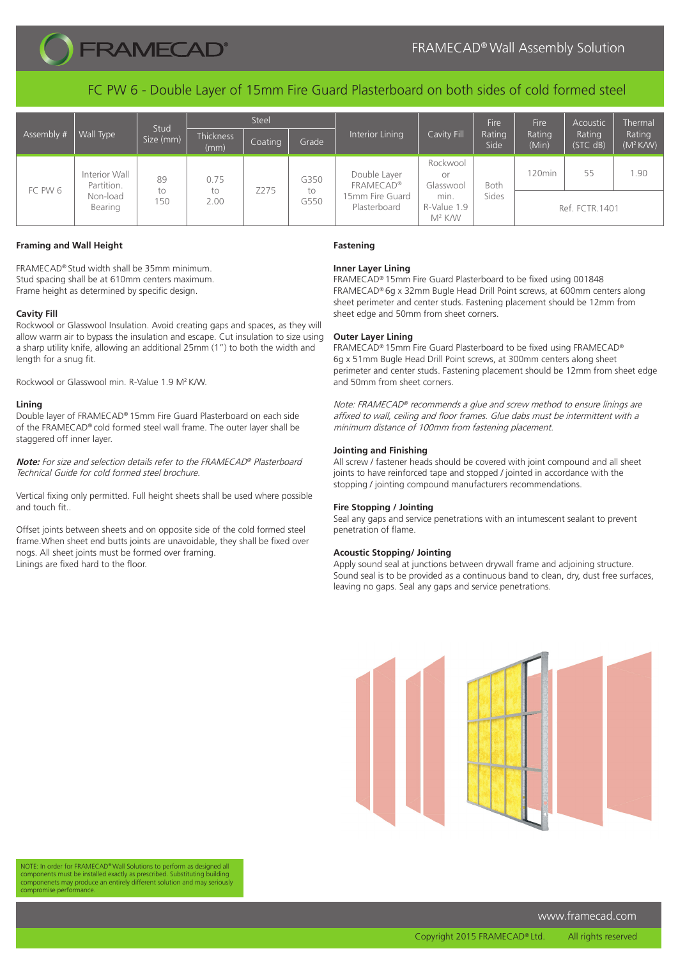

FC PW 6 - Double Layer of 15mm Fire Guard Plasterboard on both sides of cold formed steel

| Assembly # | Wall Type                                          | Stud<br>Size (mm) | <b>Steel</b>             |         |                    |                                                                     |                                                                          | Fire           | Fire               | Acoustic           | Thermal               |
|------------|----------------------------------------------------|-------------------|--------------------------|---------|--------------------|---------------------------------------------------------------------|--------------------------------------------------------------------------|----------------|--------------------|--------------------|-----------------------|
|            |                                                    |                   | <b>Thickness</b><br>(mm) | Coating | Grade              | Interior Lining                                                     | Cavity Fill                                                              | Rating<br>Side | Rating<br>(Min)    | Rating<br>(STC dB) | Rating<br>$(M^2 K/W)$ |
| FC PW 6    | Interior Wall<br>Partition.<br>Non-load<br>Bearing | 89<br>to<br>150   | 0.75<br>to<br>2.00       | Z275    | G350<br>to<br>G550 | Double Layer<br><b>FRAMECAD®</b><br>15mm Fire Guard<br>Plasterboard | Rockwool<br>Or<br>Glasswool<br>min.<br>R-Value 1.9<br>M <sup>2</sup> K/W | Both           | 120 <sub>min</sub> | 55                 | 1.90                  |
|            |                                                    |                   |                          |         |                    |                                                                     |                                                                          | Sides          | Ref. FCTR. 1401    |                    |                       |

## **Framing and Wall Height**

FRAMECAD® Stud width shall be 35mm minimum. Stud spacing shall be at 610mm centers maximum. Frame height as determined by specific design.

## **Cavity Fill**

Rockwool or Glasswool Insulation. Avoid creating gaps and spaces, as they will allow warm air to bypass the insulation and escape. Cut insulation to size using a sharp utility knife, allowing an additional 25mm (1") to both the width and length for a snug fit.

Rockwool or Glasswool min. R-Value 1.9 M2 K/W.

### **Lining**

Double layer of FRAMECAD® 15mm Fire Guard Plasterboard on each side of the FRAMECAD® cold formed steel wall frame. The outer layer shall be staggered off inner layer.

**Note:** For size and selection details refer to the FRAMECAD® Plasterboard Technical Guide for cold formed steel brochure.

Vertical fixing only permitted. Full height sheets shall be used where possible and touch fit..

Offset joints between sheets and on opposite side of the cold formed steel frame.When sheet end butts joints are unavoidable, they shall be fixed over nogs. All sheet joints must be formed over framing. Linings are fixed hard to the floor.

### **Fastening**

# **Inner Layer Lining**

FRAMECAD® 15mm Fire Guard Plasterboard to be fixed using 001848 FRAMECAD® 6g x 32mm Bugle Head Drill Point screws, at 600mm centers along sheet perimeter and center studs. Fastening placement should be 12mm from sheet edge and 50mm from sheet corners.

## **Outer Layer Lining**

FRAMECAD® 15mm Fire Guard Plasterboard to be fixed using FRAMECAD® 6g x 51mm Bugle Head Drill Point screws, at 300mm centers along sheet perimeter and center studs. Fastening placement should be 12mm from sheet edge and 50mm from sheet corners.

Note: FRAMECAD® recommends a glue and screw method to ensure linings are affixed to wall, ceiling and floor frames. Glue dabs must be intermittent with a minimum distance of 100mm from fastening placement.

## **Jointing and Finishing**

All screw / fastener heads should be covered with joint compound and all sheet joints to have reinforced tape and stopped / jointed in accordance with the stopping / jointing compound manufacturers recommendations.

### **Fire Stopping / Jointing**

Seal any gaps and service penetrations with an intumescent sealant to prevent penetration of flame.

### **Acoustic Stopping/ Jointing**

Apply sound seal at junctions between drywall frame and adjoining structure. Sound seal is to be provided as a continuous band to clean, dry, dust free surfaces, leaving no gaps. Seal any gaps and service penetrations.



NOTE: In order for FRAMECAD® Wall Solutions to perform as designed all components must be installed exactly as prescribed. Substituting building componenets may produce an entirely different solution and may seriously ise performance

www.framecad.com